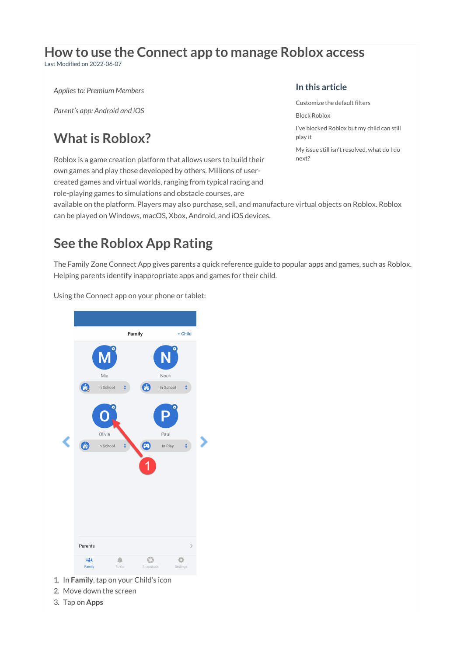# **How to use the Connect app to manage Roblox access**

Last Modified on 2022-06-07

*Applies to: Premium Members*

*Parent's app: Android and iOS*

# **What is Roblox?**

Roblox is a game creation platform that allows users to build their own games and play those developed by others. Millions of usercreated games and virtual worlds, ranging from typical racing and role-playing games to simulations and obstacle courses, are

#### **In this article**

[Customize](http://docs.familyzone.com/#customize-the-default-filters) the default filters

Block [Roblox](http://docs.familyzone.com/#block-roblox)

I've [blocked](http://docs.familyzone.com/#i%E2%80%99ve-blocked-roblox-but-my-child-can-still-play-it) Roblox but my child can still play it

My issue still isn't [resolved,](http://docs.familyzone.com/#my-issue-still-isn%E2%80%99t-resolved-what-do-i-do-next-) what do I do next?

available on the platform. Players may also purchase, sell, and manufacture virtual objects on Roblox. Roblox can be played on Windows, macOS, Xbox, Android, and iOS devices.

# **See the Roblox App Rating**

The Family Zone Connect App gives parents a quick reference guide to popular apps and games, such as Roblox. Helping parents identify inappropriate apps and games for their child.



Using the Connect app on your phone or tablet:

- 1. In **Family**, tap on your Child's icon
- 2. Move down the screen
- 3. Tap on **Apps**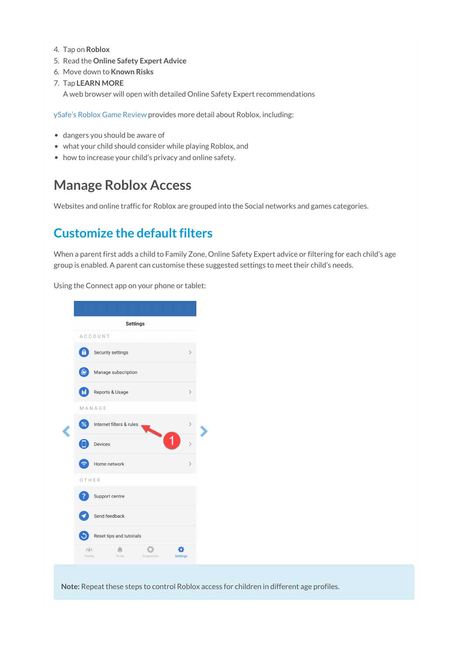- 4. Tap on **Roblox**
- 5. Read the **Online Safety Expert Advice**
- 6. Move down to **Known Risks**
- 7. Tap **LEARN MORE**

A web browser will open with detailed Online Safety Expert recommendations

ySafe's Roblox Game [Review](https://ysafe.onlinesafetyhub.com.au/app-review/roblox) provides more detail about Roblox, including:

- dangers you should be aware of
- what your child should consider while playing Roblox, and
- how to increase your child's privacy and online safety.

# **Manage Roblox Access**

Websites and online traffic for Roblox are grouped into the Social networks and games categories.

### **Customize the default filters**

When a parent first adds a child to Family Zone, Online Safety Expert advice or filtering for each child's age group is enabled. A parent can customise these suggested settings to meet their child's needs.

**Settings** ACCOUNT Security settings Manage subscription Reports & Usage **GID** MANAGE Internet filters & rules 玉 Devices Home network  $\widehat{\tau}$ OTHER Support centre Send feedback Reset tips and tutorials  $\Delta$  $666$  $\triangle$  $\mathbf{C}$ ö Settings Famil To do

Using the Connect app on your phone or tablet:

**Note:** Repeat these steps to control Roblox access for children in different age profiles.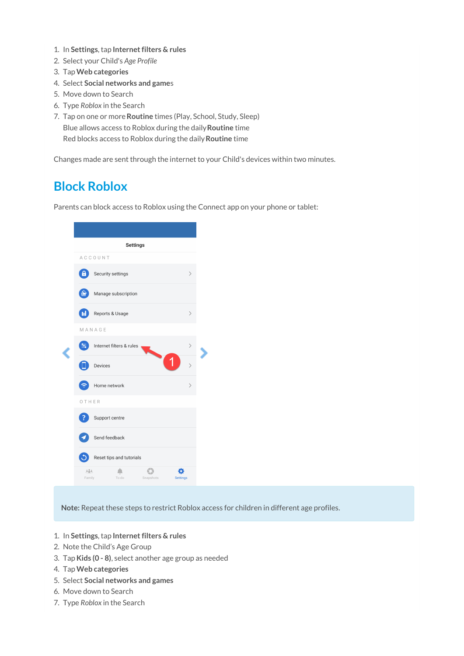- 1. In **Settings**, tap **Internet filters & rules**
- 2. Select your Child's *Age Profile*
- 3. Tap**Web categories**
- 4. Select **Social networks and game**s
- 5. Move down to Search
- 6. Type *Roblox* in the Search
- 7. Tap on one or more**Routine** times (Play, School, Study, Sleep) Blue allows access to Roblox during the daily**Routine** time Red blocks access to Roblox during the daily**Routine** time

Changes made are sent through the internet to your Child's devices within two minutes.

#### **Block Roblox**

Parents can block access to Roblox using the Connect app on your phone or tablet:

|  | <b>Settings</b>         |                          |           |                 |  |
|--|-------------------------|--------------------------|-----------|-----------------|--|
|  | ACCOUNT                 |                          |           |                 |  |
|  | 6                       | Security settings        |           | $\mathcal{E}$   |  |
|  |                         | Manage subscription      |           |                 |  |
|  | $\overline{\mathbf{u}}$ | Reports & Usage          |           | ⟩               |  |
|  | MANAGE                  |                          |           |                 |  |
|  |                         | Internet filters & rules |           | ⟩               |  |
|  |                         | Devices                  |           | $\mathcal{P}$   |  |
|  |                         | Home network             |           | ⋋               |  |
|  | OTHER                   |                          |           |                 |  |
|  |                         | Support centre           |           |                 |  |
|  |                         | Send feedback            |           |                 |  |
|  |                         | Reset tips and tutorials |           |                 |  |
|  | 383.<br>Family          | To do                    | Snapshots | <b>Settings</b> |  |
|  |                         |                          |           |                 |  |

**Note:** Repeat these steps to restrict Roblox access for children in different age profiles.

- 1. In **Settings**, tap **Internet filters & rules**
- 2. Note the Child's Age Group
- 3. Tap**Kids (0 - 8)**, select another age group as needed
- 4. Tap**Web categories**
- 5. Select **Social networks and games**
- 6. Move down to Search
- 7. Type *Roblox* in the Search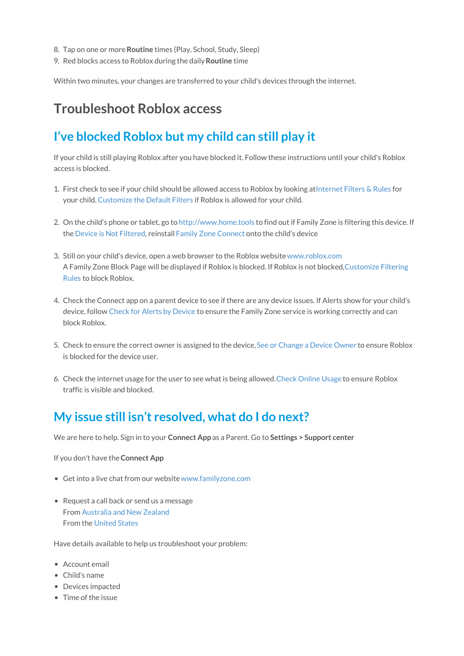- 8. Tap on one or more**Routine** times (Play, School, Study, Sleep)
- 9. Red blocks access to Roblox during the daily**Routine** time

Within two minutes, your changes are transferred to your child's devices through the internet.

# **Troubleshoot Roblox access**

#### **I've blocked Roblox but my child can still play it**

If your child is still playing Roblox after you have blocked it. Follow these instructions until your child's Roblox access is blocked.

- 1. First check to see if your child should be allowed access to Roblox by looking a[tInternet](https://docs.familyzone.com/help/customize-filtering-rules#internet-filters-rules) Filters & Rules for your child.[Customize](https://docs.familyzone.com/help/customize-filtering-rules#customize-the-default-filters) the Default Filters if Roblox is allowed for your child.
- 2. On the child's phone or tablet, go to [http://www.home.tools](http://www.home.tools/) to find out if Family Zone is filtering this device. If the Device is Not [Filtered](https://docs.familyzone.com/help/troubleshooting-device-not-filtered), reinstall Family Zone [Connect](https://docs.familyzone.com/help/family-zone-removed-troubleshooting) onto the child's device
- 3. Still on your child's device, open a web browser to the Roblox website[www.roblox.com](http://www.roblox.com) A Family Zone Block Page will be displayed if Roblox is blocked. If Roblox is not [blocked,Customize](https://docs.familyzone.com/help/customize-filtering-rules) Filtering Rules to block Roblox.
- 4. Check the Connect app on a parent device to see if there are any device issues. If Alerts show for your child's device, follow Check for Alerts by [Device](https://docs.familyzone.com/help/check-alerts-by-device) to ensure the Family Zone service is working correctly and can block Roblox.
- 5. Check to ensure the correct owner is assigned to the device, See or [Change](https://docs.familyzone.com/help/see-change-device-owner) a Device Owner to ensure Roblox is blocked for the device user.
- 6. Check the internet usage for the user to see what is being allowed.Check [Online](https://docs.familyzone.com/help/see-usage) Usage to ensure Roblox traffic is visible and blocked.

#### **My issue still isn't resolved, what do I do next?**

We are here to help. Sign in to your **Connect App** as a Parent. Go to **Settings > Support center**

If you don't have the**Connect App**

- Get into a live chat from our website[www.familyzone.com](https://www.familyzone.com/)
- Request a call back or send us a message From [Australia](https://www.familyzone.com/anz/families/contact-us) and New Zealand From the [United](https://www.familyzone.com/us/families/contact-us) States

Have details available to help us troubleshoot your problem:

- Account email
- Child's name
- Devices impacted
- Time of the issue